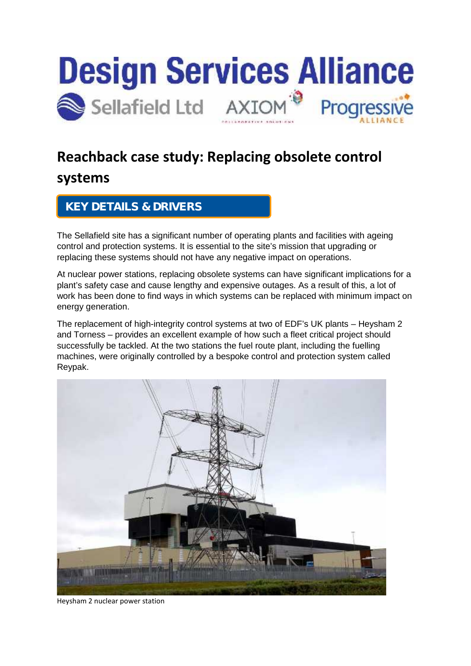

# **Reachback case study: Replacing obsolete control**

### **systems**

#### **KEY DETAILS & DRIVERS**

The Sellafield site has a significant number of operating plants and facilities with ageing control and protection systems. It is essential to the site's mission that upgrading or replacing these systems should not have any negative impact on operations.

At nuclear power stations, replacing obsolete systems can have significant implications for a plant's safety case and cause lengthy and expensive outages. As a result of this, a lot of work has been done to find ways in which systems can be replaced with minimum impact on energy generation.

The replacement of high-integrity control systems at two of EDF's UK plants – Heysham 2 and Torness – provides an excellent example of how such a fleet critical project should successfully be tackled. At the two stations the fuel route plant, including the fuelling machines, were originally controlled by a bespoke control and protection system called Reypak.



Heysham 2 nuclear power station